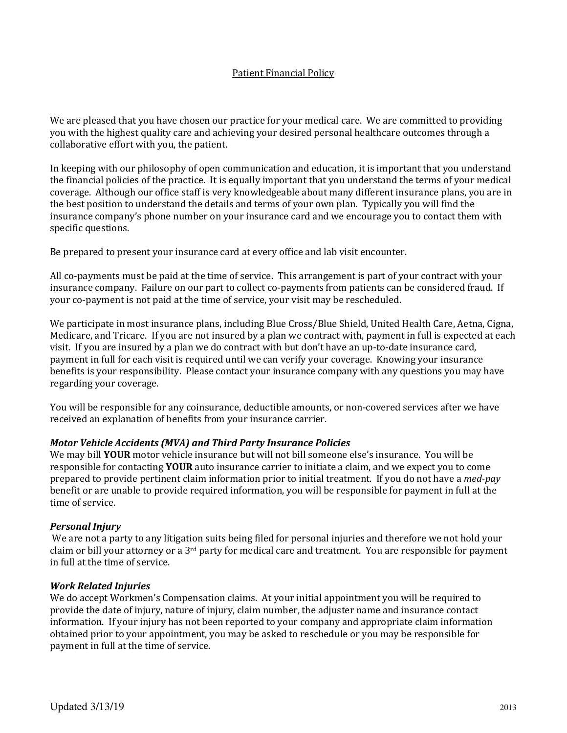# Patient Financial Policy

We are pleased that you have chosen our practice for your medical care. We are committed to providing you with the highest quality care and achieving your desired personal healthcare outcomes through a collaborative effort with you, the patient.

In keeping with our philosophy of open communication and education, it is important that you understand the financial policies of the practice. It is equally important that you understand the terms of your medical coverage. Although our office staff is very knowledgeable about many different insurance plans, you are in the best position to understand the details and terms of your own plan. Typically you will find the insurance company's phone number on your insurance card and we encourage you to contact them with specific questions.

Be prepared to present your insurance card at every office and lab visit encounter.

All co-payments must be paid at the time of service. This arrangement is part of your contract with your insurance company. Failure on our part to collect co-payments from patients can be considered fraud. If your co-payment is not paid at the time of service, your visit may be rescheduled.

We participate in most insurance plans, including Blue Cross/Blue Shield, United Health Care, Aetna, Cigna, Medicare, and Tricare. If you are not insured by a plan we contract with, payment in full is expected at each visit. If you are insured by a plan we do contract with but don't have an up-to-date insurance card, payment in full for each visit is required until we can verify your coverage. Knowing your insurance benefits is your responsibility. Please contact your insurance company with any questions you may have regarding your coverage.

You will be responsible for any coinsurance, deductible amounts, or non-covered services after we have received an explanation of benefits from your insurance carrier.

## Motor Vehicle Accidents (MVA) and Third Party Insurance Policies

We may bill **YOUR** motor vehicle insurance but will not bill someone else's insurance. You will be responsible for contacting YOUR auto insurance carrier to initiate a claim, and we expect you to come prepared to provide pertinent claim information prior to initial treatment. If you do not have a med-pay benefit or are unable to provide required information, you will be responsible for payment in full at the time of service.

#### Personal Injury

 We are not a party to any litigation suits being filed for personal injuries and therefore we not hold your claim or bill your attorney or a 3rd party for medical care and treatment. You are responsible for payment in full at the time of service.

## Work Related Injuries

We do accept Workmen's Compensation claims. At your initial appointment you will be required to provide the date of injury, nature of injury, claim number, the adjuster name and insurance contact information. If your injury has not been reported to your company and appropriate claim information obtained prior to your appointment, you may be asked to reschedule or you may be responsible for payment in full at the time of service.